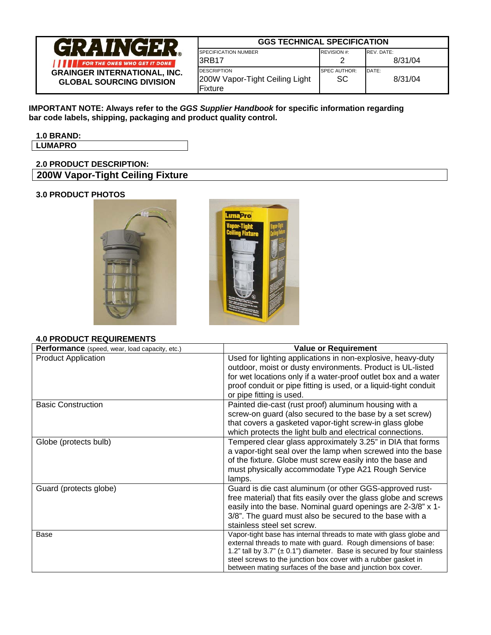

# **GGS TECHNICAL SPECIFICATION**

| <b>SPECIFICATION NUMBER</b>    | <b>REVISION #:</b>  | REV. DATE: |
|--------------------------------|---------------------|------------|
| I3RB17                         |                     | 8/31/04    |
| <b>DESCRIPTION</b>             | <b>SPEC AUTHOR:</b> | DATE:      |
| 200W Vapor-Tight Ceiling Light | SC                  | 8/31/04    |
| IFixture                       |                     |            |

**IMPORTANT NOTE: Always refer to the** *GGS Supplier Handbook* **for specific information regarding bar code labels, shipping, packaging and product quality control.** 

**1.0 BRAND: LUMAPRO** 

# **2.0 PRODUCT DESCRIPTION: 200W Vapor-Tight Ceiling Fixture**

### **3.0 PRODUCT PHOTOS**





#### **4.0 PRODUCT REQUIREMENTS**

| 7.0   INUDUCI INLWUINLIVILIVIU                 |                                                                                                                                                                                                                                                                                                                                                     |
|------------------------------------------------|-----------------------------------------------------------------------------------------------------------------------------------------------------------------------------------------------------------------------------------------------------------------------------------------------------------------------------------------------------|
| Performance (speed, wear, load capacity, etc.) | <b>Value or Requirement</b>                                                                                                                                                                                                                                                                                                                         |
| <b>Product Application</b>                     | Used for lighting applications in non-explosive, heavy-duty<br>outdoor, moist or dusty environments. Product is UL-listed<br>for wet locations only if a water-proof outlet box and a water<br>proof conduit or pipe fitting is used, or a liquid-tight conduit<br>or pipe fitting is used.                                                         |
| <b>Basic Construction</b>                      | Painted die-cast (rust proof) aluminum housing with a<br>screw-on guard (also secured to the base by a set screw)<br>that covers a gasketed vapor-tight screw-in glass globe<br>which protects the light bulb and electrical connections.                                                                                                           |
| Globe (protects bulb)                          | Tempered clear glass approximately 3.25" in DIA that forms<br>a vapor-tight seal over the lamp when screwed into the base<br>of the fixture. Globe must screw easily into the base and<br>must physically accommodate Type A21 Rough Service<br>lamps.                                                                                              |
| Guard (protects globe)                         | Guard is die cast aluminum (or other GGS-approved rust-<br>free material) that fits easily over the glass globe and screws<br>easily into the base. Nominal guard openings are 2-3/8" x 1-<br>3/8". The guard must also be secured to the base with a<br>stainless steel set screw.                                                                 |
| Base                                           | Vapor-tight base has internal threads to mate with glass globe and<br>external threads to mate with guard. Rough dimensions of base:<br>1.2" tall by 3.7" $(\pm 0.1")$ diameter. Base is secured by four stainless<br>steel screws to the junction box cover with a rubber gasket in<br>between mating surfaces of the base and junction box cover. |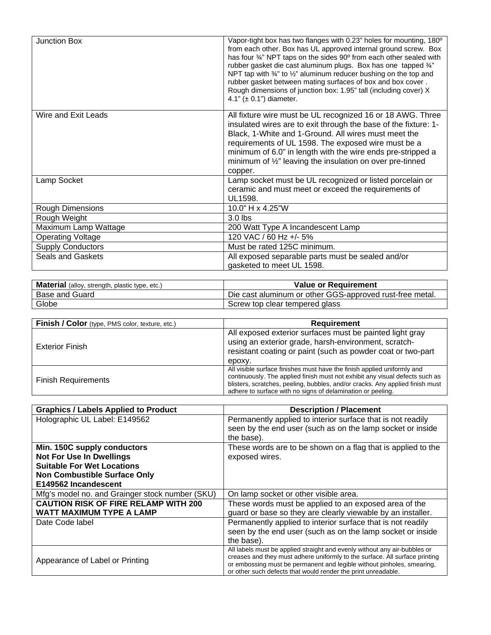| <b>Junction Box</b>      | Vapor-tight box has two flanges with 0.23" holes for mounting, 180°<br>from each other. Box has UL approved internal ground screw. Box<br>has four 34" NPT taps on the sides 90° from each other sealed with<br>rubber gasket die cast aluminum plugs. Box has one tapped 3/4"<br>NPT tap with 34" to 1/2" aluminum reducer bushing on the top and<br>rubber gasket between mating surfaces of box and box cover.<br>Rough dimensions of junction box: 1.95" tall (including cover) X<br>4.1" $(\pm 0.1)$ " diameter. |
|--------------------------|-----------------------------------------------------------------------------------------------------------------------------------------------------------------------------------------------------------------------------------------------------------------------------------------------------------------------------------------------------------------------------------------------------------------------------------------------------------------------------------------------------------------------|
| Wire and Exit Leads      | All fixture wire must be UL recognized 16 or 18 AWG. Three<br>insulated wires are to exit through the base of the fixture: 1-<br>Black, 1-White and 1-Ground. All wires must meet the<br>requirements of UL 1598. The exposed wire must be a<br>minimum of 6.0" in length with the wire ends pre-stripped a<br>minimum of $\frac{1}{2}$ " leaving the insulation on over pre-tinned<br>copper.                                                                                                                        |
| Lamp Socket              | Lamp socket must be UL recognized or listed porcelain or<br>ceramic and must meet or exceed the requirements of<br><b>UL1598.</b>                                                                                                                                                                                                                                                                                                                                                                                     |
| <b>Rough Dimensions</b>  | 10.0" H x 4.25"W                                                                                                                                                                                                                                                                                                                                                                                                                                                                                                      |
| Rough Weight             | $3.0$ lbs                                                                                                                                                                                                                                                                                                                                                                                                                                                                                                             |
| Maximum Lamp Wattage     | 200 Watt Type A Incandescent Lamp                                                                                                                                                                                                                                                                                                                                                                                                                                                                                     |
| <b>Operating Voltage</b> | 120 VAC / 60 Hz +/- 5%                                                                                                                                                                                                                                                                                                                                                                                                                                                                                                |
| <b>Supply Conductors</b> | Must be rated 125C minimum.                                                                                                                                                                                                                                                                                                                                                                                                                                                                                           |
| <b>Seals and Gaskets</b> | All exposed separable parts must be sealed and/or<br>gasketed to meet UL 1598.                                                                                                                                                                                                                                                                                                                                                                                                                                        |

| <b>Material</b> (alloy, strength, plastic type, etc.) | Value or Requirement                                     |
|-------------------------------------------------------|----------------------------------------------------------|
| <b>Base and Guard</b>                                 | Die cast aluminum or other GGS-approved rust-free metal. |
| Globe                                                 | Screw top clear tempered glass                           |

| Finish / Color (type, PMS color, texture, etc.) | <b>Requirement</b>                                                                                                                                                                                                                                                                                      |
|-------------------------------------------------|---------------------------------------------------------------------------------------------------------------------------------------------------------------------------------------------------------------------------------------------------------------------------------------------------------|
| <b>Exterior Finish</b>                          | All exposed exterior surfaces must be painted light gray<br>using an exterior grade, harsh-environment, scratch-<br>resistant coating or paint (such as powder coat or two-part<br>epoxy.                                                                                                               |
| <b>Finish Requirements</b>                      | All visible surface finishes must have the finish applied uniformly and<br>continuously. The applied finish must not exhibit any visual defects such as<br>blisters, scratches, peeling, bubbles, and/or cracks. Any applied finish must<br>adhere to surface with no signs of delamination or peeling. |

| <b>Graphics / Labels Applied to Product</b>     | <b>Description / Placement</b>                                                                                                                                                                                                                                                                      |
|-------------------------------------------------|-----------------------------------------------------------------------------------------------------------------------------------------------------------------------------------------------------------------------------------------------------------------------------------------------------|
| Holographic UL Label: E149562                   | Permanently applied to interior surface that is not readily<br>seen by the end user (such as on the lamp socket or inside                                                                                                                                                                           |
|                                                 | the base).                                                                                                                                                                                                                                                                                          |
| Min. 150C supply conductors                     | These words are to be shown on a flag that is applied to the                                                                                                                                                                                                                                        |
| <b>Not For Use In Dwellings</b>                 | exposed wires.                                                                                                                                                                                                                                                                                      |
| <b>Suitable For Wet Locations</b>               |                                                                                                                                                                                                                                                                                                     |
| <b>Non Combustible Surface Only</b>             |                                                                                                                                                                                                                                                                                                     |
| E149562 Incandescent                            |                                                                                                                                                                                                                                                                                                     |
| Mfg's model no. and Grainger stock number (SKU) | On lamp socket or other visible area.                                                                                                                                                                                                                                                               |
| <b>CAUTION RISK OF FIRE RELAMP WITH 200</b>     | These words must be applied to an exposed area of the                                                                                                                                                                                                                                               |
| <b>WATT MAXIMUM TYPE A LAMP</b>                 | guard or base so they are clearly viewable by an installer.                                                                                                                                                                                                                                         |
| Date Code label                                 | Permanently applied to interior surface that is not readily                                                                                                                                                                                                                                         |
|                                                 | seen by the end user (such as on the lamp socket or inside                                                                                                                                                                                                                                          |
|                                                 | the base).                                                                                                                                                                                                                                                                                          |
| Appearance of Label or Printing                 | All labels must be applied straight and evenly without any air-bubbles or<br>creases and they must adhere uniformly to the surface. All surface printing<br>or embossing must be permanent and legible without pinholes, smearing,<br>or other such defects that would render the print unreadable. |